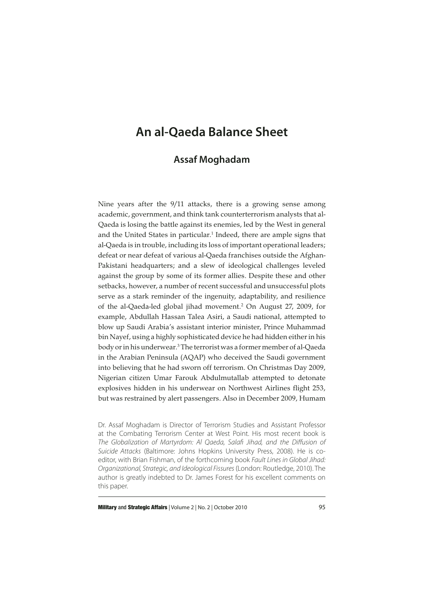# **An al-Qaeda Balance Sheet**

# **Assaf Moghadam**

Nine years after the 9/11 attacks, there is a growing sense among academic, government, and think tank counterterrorism analysts that al-Qaeda is losing the battle against its enemies, led by the West in general and the United States in particular.<sup>1</sup> Indeed, there are ample signs that al-Qaeda is in trouble, including its loss of important operational leaders; defeat or near defeat of various al-Qaeda franchises outside the Afghan-Pakistani headquarters; and a slew of ideological challenges leveled against the group by some of its former allies. Despite these and other setbacks, however, a number of recent successful and unsuccessful plots serve as a stark reminder of the ingenuity, adaptability, and resilience of the al-Qaeda-led global jihad movement.<sup>2</sup> On August 27, 2009, for example, Abdullah Hassan Talea Asiri, a Saudi national, attempted to blow up Saudi Arabia's assistant interior minister, Prince Muhammad bin Nayef, using a highly sophisticated device he had hidden either in his body or in his underwear.3 The terrorist was a former member of al-Qaeda in the Arabian Peninsula (AQAP) who deceived the Saudi government into believing that he had sworn off terrorism. On Christmas Day 2009, Nigerian citizen Umar Farouk Abdulmutallab attempted to detonate explosives hidden in his underwear on Northwest Airlines flight 253, but was restrained by alert passengers. Also in December 2009, Humam

Dr. Assaf Moghadam is Director of Terrorism Studies and Assistant Professor at the Combating Terrorism Center at West Point. His most recent book is The Globalization of Martyrdom: Al Qaeda, Salafi Jihad, and the Diffusion of Suicide Attacks (Baltimore: Johns Hopkins University Press, 2008). He is coeditor, with Brian Fishman, of the forthcoming book Fault Lines in Global Jihad: Organizational, Strategic, and Ideological Fissures (London: Routledge, 2010). The author is greatly indebted to Dr. James Forest for his excellent comments on this paper.

**Military and Strategic Affairs** | Volume 2 | No. 2 | October 2010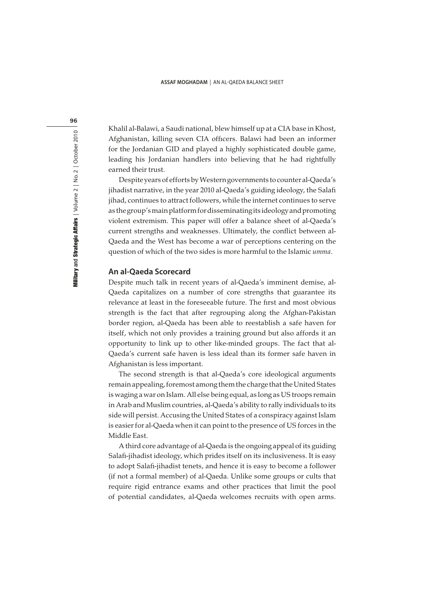Khalil al-Balawi, a Saudi national, blew himself up at a CIA base in Khost, Afghanistan, killing seven CIA officers. Balawi had been an informer for the Jordanian GID and played a highly sophisticated double game, leading his Jordanian handlers into believing that he had rightfully earned their trust.

Despite years of efforts by Western governments to counter al-Qaeda's jihadist narrative, in the year 2010 al-Qaeda's guiding ideology, the Salafi jihad, continues to attract followers, while the internet continues to serve as the group's main platform for disseminating its ideology and promoting violent extremism. This paper will offer a balance sheet of al-Qaeda's current strengths and weaknesses. Ultimately, the conflict between al-Qaeda and the West has become a war of perceptions centering on the question of which of the two sides is more harmful to the Islamic umma.

## **An al-Qaeda Scorecard**

Despite much talk in recent years of al-Qaeda's imminent demise, al-Qaeda capitalizes on a number of core strengths that guarantee its relevance at least in the foreseeable future. The first and most obvious strength is the fact that after regrouping along the Afghan-Pakistan border region, al-Qaeda has been able to reestablish a safe haven for itself, which not only provides a training ground but also affords it an opportunity to link up to other like-minded groups. The fact that al-Qaeda's current safe haven is less ideal than its former safe haven in Afghanistan is less important.

The second strength is that al-Qaeda's core ideological arguments remain appealing, foremost among them the charge that the United States is waging a war on Islam. All else being equal, as long as US troops remain in Arab and Muslim countries, al-Qaeda's ability to rally individuals to its side will persist. Accusing the United States of a conspiracy against Islam is easier for al-Qaeda when it can point to the presence of US forces in the Middle East.

A third core advantage of al-Qaeda is the ongoing appeal of its guiding Salafi-jihadist ideology, which prides itself on its inclusiveness. It is easy to adopt Salafi-jihadist tenets, and hence it is easy to become a follower (if not a formal member) of al-Qaeda. Unlike some groups or cults that require rigid entrance exams and other practices that limit the pool of potential candidates, al-Qaeda welcomes recruits with open arms.

96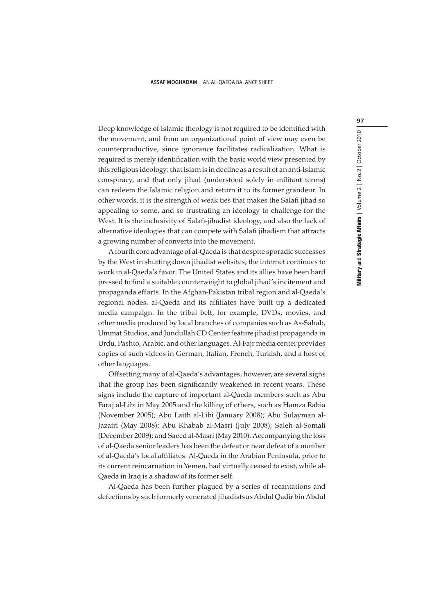#### **ASSAF MOGHADAM** | AN AL-QAEDA BALANCE SHEET

Deep knowledge of Islamic theology is not required to be identified with the movement, and from an organizational point of view may even be counterproductive, since ignorance facilitates radicalization. What is required is merely identification with the basic world view presented by this religious ideology: that Islam is in decline as a result of an anti-Islamic conspiracy, and that only jihad (understood solely in militant terms) can redeem the Islamic religion and return it to its former grandeur. In other words, it is the strength of weak ties that makes the Salafi jihad so appealing to some, and so frustrating an ideology to challenge for the West. It is the inclusivity of Salafi-jihadist ideology, and also the lack of alternative ideologies that can compete with Salafi jihadism that attracts a growing number of converts into the movement.

A fourth core advantage of al-Qaeda is that despite sporadic successes by the West in shutting down jihadist websites, the internet continues to work in al-Qaeda's favor. The United States and its allies have been hard pressed to find a suitable counterweight to global jihad's incitement and propaganda efforts. In the Afghan-Pakistan tribal region and al-Qaeda's regional nodes, al-Qaeda and its affiliates have built up a dedicated media campaign. In the tribal belt, for example, DVDs, movies, and other media produced by local branches of companies such as As-Sahab, Ummat Studios, and Jundullah CD Center feature jihadist propaganda in Urdu, Pashto, Arabic, and other languages. Al-Fajr media center provides copies of such videos in German, Italian, French, Turkish, and a host of other languages.

Offsetting many of al-Qaeda's advantages, however, are several signs that the group has been significantly weakened in recent years. These signs include the capture of important al-Qaeda members such as Abu Faraj al-Libi in May 2005 and the killing of others, such as Hamza Rabia (November 2005); Abu Laith al-Libi (January 2008); Abu Sulayman al-Jazairi (May 2008); Abu Khabab al-Masri (July 2008); Saleh al-Somali (December 2009); and Saeed al-Masri (May 2010). Accompanying the loss of al-Qaeda senior leaders has been the defeat or near defeat of a number of al-Qaeda's local affiliates. Al-Qaeda in the Arabian Peninsula, prior to its current reincarnation in Yemen, had virtually ceased to exist, while al-Qaeda in Iraq is a shadow of its former self.

Al-Qaeda has been further plagued by a series of recantations and defections by such formerly venerated jihadists as Abdul Qadir bin Abdul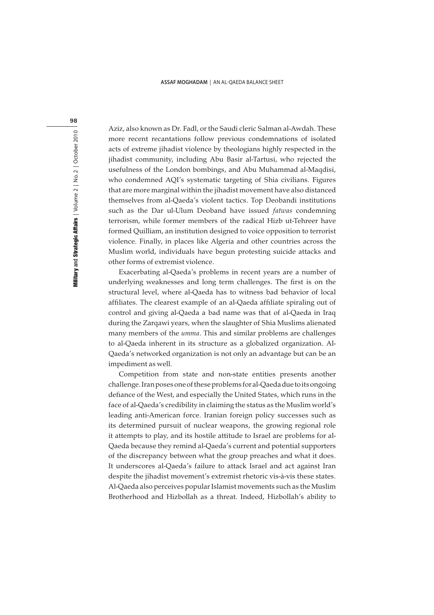#### **ASSAF MOGHADAM** | AN AL-QAEDA BALANCE SHEET

Military and Strategic Affairs | Volume 2 | No. 2 | October 2010 **Military and Strategic Affairs** | Volume 2 | No. 2 | October 2010

98

Aziz, also known as Dr. Fadl, or the Saudi cleric Salman al-Awdah. These more recent recantations follow previous condemnations of isolated acts of extreme jihadist violence by theologians highly respected in the jihadist community, including Abu Basir al-Tartusi, who rejected the usefulness of the London bombings, and Abu Muhammad al-Maqdisi, who condemned AQI's systematic targeting of Shia civilians. Figures that are more marginal within the jihadist movement have also distanced themselves from al-Qaeda's violent tactics. Top Deobandi institutions such as the Dar ul-Ulum Deoband have issued fatwas condemning terrorism, while former members of the radical Hizb ut-Tehreer have formed Quilliam, an institution designed to voice opposition to terrorist violence. Finally, in places like Algeria and other countries across the Muslim world, individuals have begun protesting suicide attacks and other forms of extremist violence.

Exacerbating al-Qaeda's problems in recent years are a number of underlying weaknesses and long term challenges. The first is on the structural level, where al-Qaeda has to witness bad behavior of local affiliates. The clearest example of an al-Qaeda affiliate spiraling out of control and giving al-Qaeda a bad name was that of al-Qaeda in Iraq during the Zarqawi years, when the slaughter of Shia Muslims alienated many members of the umma. This and similar problems are challenges to al-Qaeda inherent in its structure as a globalized organization. Al-Qaeda's networked organization is not only an advantage but can be an impediment as well.

Competition from state and non-state entities presents another challenge. Iran poses one of these problems for al-Qaeda due to its ongoing defiance of the West, and especially the United States, which runs in the face of al-Qaeda's credibility in claiming the status as the Muslim world's leading anti-American force. Iranian foreign policy successes such as its determined pursuit of nuclear weapons, the growing regional role it attempts to play, and its hostile attitude to Israel are problems for al-Qaeda because they remind al-Qaeda's current and potential supporters of the discrepancy between what the group preaches and what it does. It underscores al-Qaeda's failure to attack Israel and act against Iran despite the jihadist movement's extremist rhetoric vis-à-vis these states. Al-Qaeda also perceives popular Islamist movements such as the Muslim Brotherhood and Hizbollah as a threat. Indeed, Hizbollah's ability to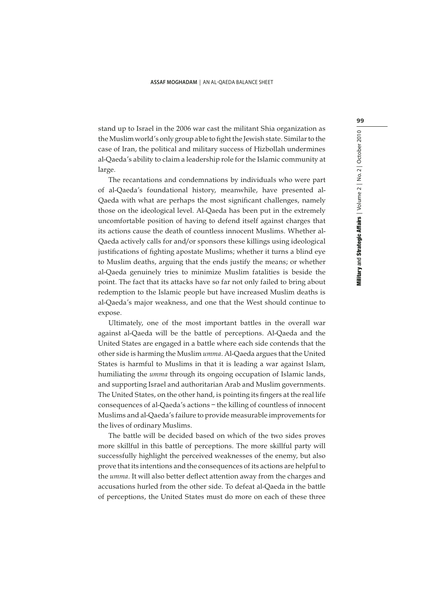stand up to Israel in the 2006 war cast the militant Shia organization as the Muslim world's only group able to fight the Jewish state. Similar to the case of Iran, the political and military success of Hizbollah undermines al-Qaeda's ability to claim a leadership role for the Islamic community at large.

The recantations and condemnations by individuals who were part of al-Qaeda's foundational history, meanwhile, have presented al-Qaeda with what are perhaps the most significant challenges, namely those on the ideological level. Al-Qaeda has been put in the extremely uncomfortable position of having to defend itself against charges that its actions cause the death of countless innocent Muslims. Whether al-Qaeda actively calls for and/or sponsors these killings using ideological justifications of fighting apostate Muslims; whether it turns a blind eye to Muslim deaths, arguing that the ends justify the means; or whether al-Qaeda genuinely tries to minimize Muslim fatalities is beside the point. The fact that its attacks have so far not only failed to bring about redemption to the Islamic people but have increased Muslim deaths is al-Qaeda's major weakness, and one that the West should continue to expose.

Ultimately, one of the most important battles in the overall war against al-Qaeda will be the battle of perceptions. Al-Qaeda and the United States are engaged in a battle where each side contends that the other side is harming the Muslim umma. Al-Qaeda argues that the United States is harmful to Muslims in that it is leading a war against Islam, humiliating the umma through its ongoing occupation of Islamic lands, and supporting Israel and authoritarian Arab and Muslim governments. The United States, on the other hand, is pointing its fingers at the real life consequences of al-Qaeda's actions – the killing of countless of innocent Muslims and al-Qaeda's failure to provide measurable improvements for the lives of ordinary Muslims.

The battle will be decided based on which of the two sides proves more skillful in this battle of perceptions. The more skillful party will successfully highlight the perceived weaknesses of the enemy, but also prove that its intentions and the consequences of its actions are helpful to the umma. It will also better deflect attention away from the charges and accusations hurled from the other side. To defeat al-Qaeda in the battle of perceptions, the United States must do more on each of these three